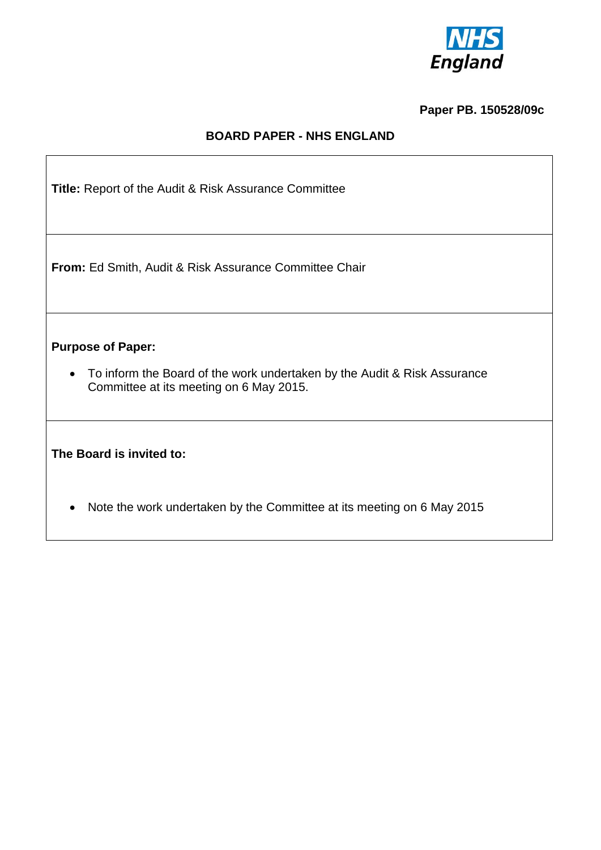

# **Paper PB. 150528/09c**

## **BOARD PAPER - NHS ENGLAND**

| <b>Title:</b> Report of the Audit & Risk Assurance Committee                                                                                                 |
|--------------------------------------------------------------------------------------------------------------------------------------------------------------|
| <b>From:</b> Ed Smith, Audit & Risk Assurance Committee Chair                                                                                                |
| <b>Purpose of Paper:</b><br>To inform the Board of the work undertaken by the Audit & Risk Assurance<br>$\bullet$<br>Committee at its meeting on 6 May 2015. |
| The Board is invited to:                                                                                                                                     |
| Note the work undertaken by the Committee at its meeting on 6 May 2015                                                                                       |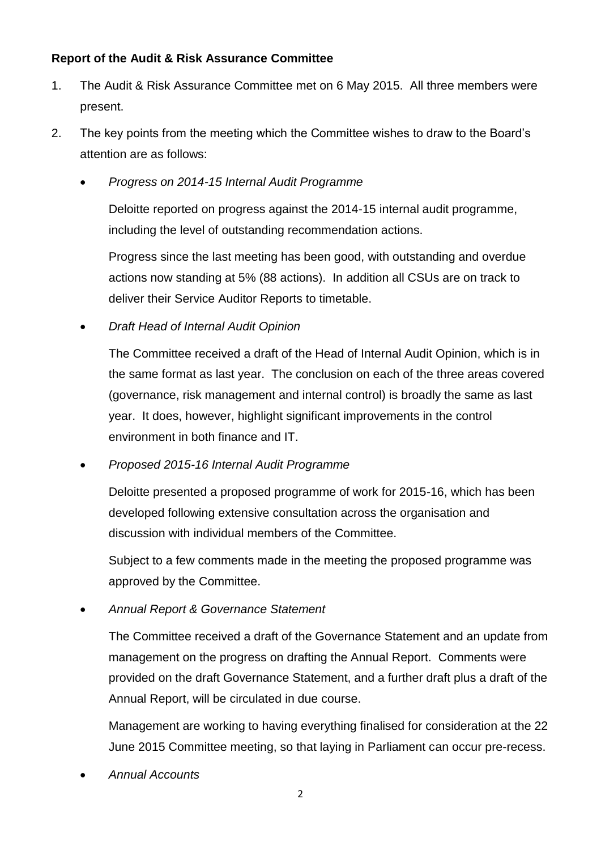#### **Report of the Audit & Risk Assurance Committee**

- 1. The Audit & Risk Assurance Committee met on 6 May 2015. All three members were present.
- 2. The key points from the meeting which the Committee wishes to draw to the Board's attention are as follows:
	- *Progress on 2014-15 Internal Audit Programme*

Deloitte reported on progress against the 2014-15 internal audit programme, including the level of outstanding recommendation actions.

Progress since the last meeting has been good, with outstanding and overdue actions now standing at 5% (88 actions). In addition all CSUs are on track to deliver their Service Auditor Reports to timetable.

*Draft Head of Internal Audit Opinion*

The Committee received a draft of the Head of Internal Audit Opinion, which is in the same format as last year. The conclusion on each of the three areas covered (governance, risk management and internal control) is broadly the same as last year. It does, however, highlight significant improvements in the control environment in both finance and IT.

*Proposed 2015-16 Internal Audit Programme*

Deloitte presented a proposed programme of work for 2015-16, which has been developed following extensive consultation across the organisation and discussion with individual members of the Committee.

Subject to a few comments made in the meeting the proposed programme was approved by the Committee.

*Annual Report & Governance Statement*

The Committee received a draft of the Governance Statement and an update from management on the progress on drafting the Annual Report. Comments were provided on the draft Governance Statement, and a further draft plus a draft of the Annual Report, will be circulated in due course.

Management are working to having everything finalised for consideration at the 22 June 2015 Committee meeting, so that laying in Parliament can occur pre-recess.

*Annual Accounts*